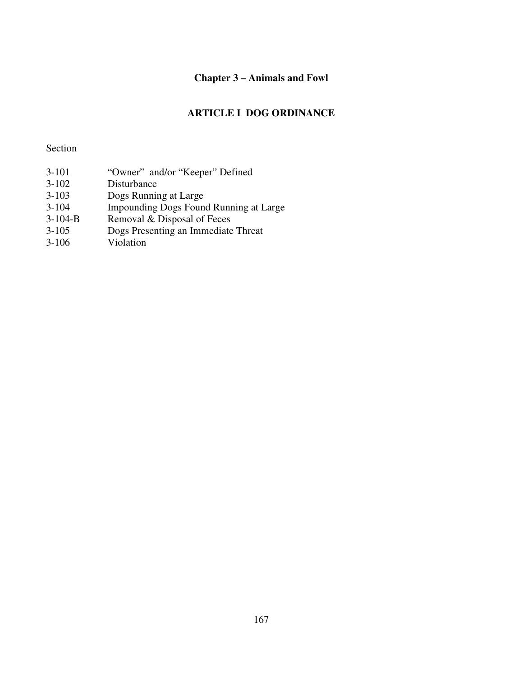# **Chapter 3 – Animals and Fowl**

# **ARTICLE I DOG ORDINANCE**

### Section

- 3-101 "Owner" and/or "Keeper" Defined 3-102 Disturbance<br>3-103 Dogs Runnir 3-103 Dogs Running at Large<br>3-104 Impounding Dogs Found Impounding Dogs Found Running at Large 3-104-B Removal & Disposal of Feces<br>3-105 Dogs Presenting an Immediate Dogs Presenting an Immediate Threat
- 3-106 Violation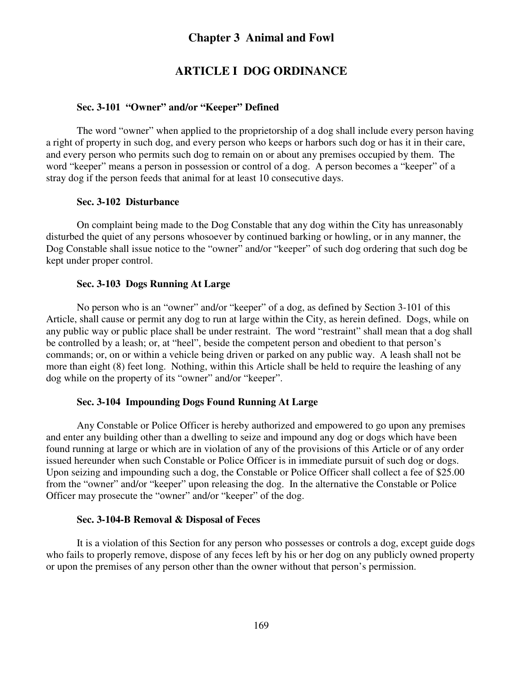# **Chapter 3 Animal and Fowl**

## **ARTICLE I DOG ORDINANCE**

#### **Sec. 3-101 "Owner" and/or "Keeper" Defined**

 The word "owner" when applied to the proprietorship of a dog shall include every person having a right of property in such dog, and every person who keeps or harbors such dog or has it in their care, and every person who permits such dog to remain on or about any premises occupied by them. The word "keeper" means a person in possession or control of a dog. A person becomes a "keeper" of a stray dog if the person feeds that animal for at least 10 consecutive days.

### **Sec. 3-102 Disturbance**

 On complaint being made to the Dog Constable that any dog within the City has unreasonably disturbed the quiet of any persons whosoever by continued barking or howling, or in any manner, the Dog Constable shall issue notice to the "owner" and/or "keeper" of such dog ordering that such dog be kept under proper control.

#### **Sec. 3-103 Dogs Running At Large**

 No person who is an "owner" and/or "keeper" of a dog, as defined by Section 3-101 of this Article, shall cause or permit any dog to run at large within the City, as herein defined. Dogs, while on any public way or public place shall be under restraint. The word "restraint" shall mean that a dog shall be controlled by a leash; or, at "heel", beside the competent person and obedient to that person's commands; or, on or within a vehicle being driven or parked on any public way. A leash shall not be more than eight (8) feet long. Nothing, within this Article shall be held to require the leashing of any dog while on the property of its "owner" and/or "keeper".

#### **Sec. 3-104 Impounding Dogs Found Running At Large**

 Any Constable or Police Officer is hereby authorized and empowered to go upon any premises and enter any building other than a dwelling to seize and impound any dog or dogs which have been found running at large or which are in violation of any of the provisions of this Article or of any order issued hereunder when such Constable or Police Officer is in immediate pursuit of such dog or dogs. Upon seizing and impounding such a dog, the Constable or Police Officer shall collect a fee of \$25.00 from the "owner" and/or "keeper" upon releasing the dog. In the alternative the Constable or Police Officer may prosecute the "owner" and/or "keeper" of the dog.

#### **Sec. 3-104-B Removal & Disposal of Feces**

It is a violation of this Section for any person who possesses or controls a dog, except guide dogs who fails to properly remove, dispose of any feces left by his or her dog on any publicly owned property or upon the premises of any person other than the owner without that person's permission.